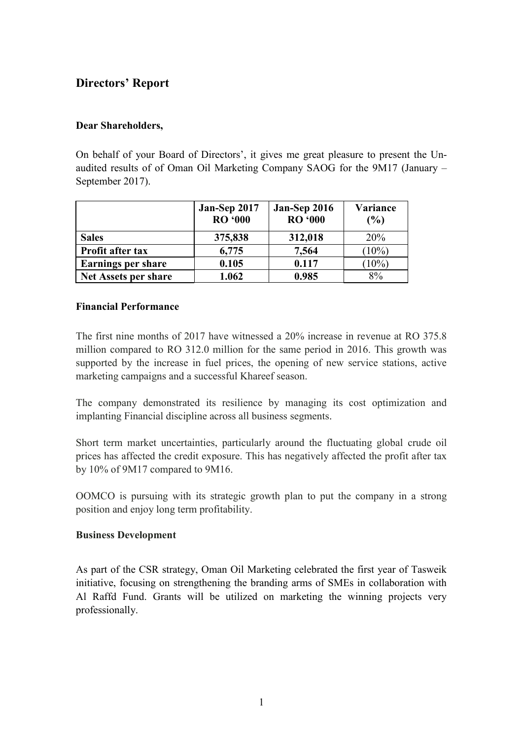# **Directors' Report**

## **Dear Shareholders,**

On behalf of your Board of Directors', it gives me great pleasure to present the Unaudited results of of Oman Oil Marketing Company SAOG for the 9M17 (January – September 2017).

|                             | Jan-Sep 2017<br><b>RO</b> '000 | Jan-Sep 2016<br><b>RO</b> '000 | Variance<br>$\frac{6}{6}$ |
|-----------------------------|--------------------------------|--------------------------------|---------------------------|
| <b>Sales</b>                | 375,838                        | 312,018                        | 20%                       |
| Profit after tax            | 6,775                          | 7,564                          | $(10\%)$                  |
| <b>Earnings per share</b>   | 0.105                          | 0.117                          | $(10\%)$                  |
| <b>Net Assets per share</b> | 1.062                          | 0.985                          | 8%                        |

### **Financial Performance**

The first nine months of 2017 have witnessed a 20% increase in revenue at RO 375.8 million compared to RO 312.0 million for the same period in 2016. This growth was supported by the increase in fuel prices, the opening of new service stations, active marketing campaigns and a successful Khareef season.

The company demonstrated its resilience by managing its cost optimization and implanting Financial discipline across all business segments.

Short term market uncertainties, particularly around the fluctuating global crude oil prices has affected the credit exposure. This has negatively affected the profit after tax by 10% of 9M17 compared to 9M16.

OOMCO is pursuing with its strategic growth plan to put the company in a strong position and enjoy long term profitability.

### **Business Development**

As part of the CSR strategy, Oman Oil Marketing celebrated the first year of Tasweik initiative, focusing on strengthening the branding arms of SMEs in collaboration with Al Raffd Fund. Grants will be utilized on marketing the winning projects very professionally.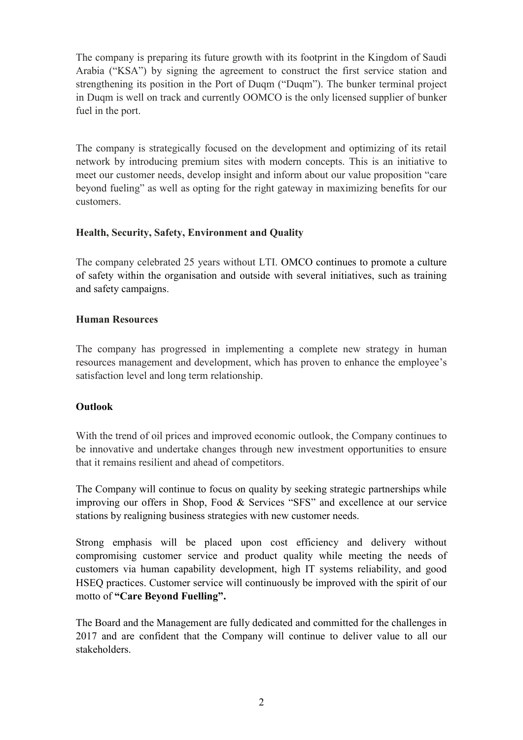The company is preparing its future growth with its footprint in the Kingdom of Saudi Arabia ("KSA") by signing the agreement to construct the first service station and strengthening its position in the Port of Duqm ("Duqm"). The bunker terminal project in Duqm is well on track and currently OOMCO is the only licensed supplier of bunker fuel in the port.

The company is strategically focused on the development and optimizing of its retail network by introducing premium sites with modern concepts. This is an initiative to meet our customer needs, develop insight and inform about our value proposition "care beyond fueling" as well as opting for the right gateway in maximizing benefits for our customers.

## **Health, Security, Safety, Environment and Quality**

The company celebrated 25 years without LTI. OMCO continues to promote a culture of safety within the organisation and outside with several initiatives, such as training and safety campaigns.

## **Human Resources**

The company has progressed in implementing a complete new strategy in human resources management and development, which has proven to enhance the employee's satisfaction level and long term relationship.

### **Outlook**

With the trend of oil prices and improved economic outlook, the Company continues to be innovative and undertake changes through new investment opportunities to ensure that it remains resilient and ahead of competitors.

The Company will continue to focus on quality by seeking strategic partnerships while improving our offers in Shop, Food & Services "SFS" and excellence at our service stations by realigning business strategies with new customer needs.

Strong emphasis will be placed upon cost efficiency and delivery without compromising customer service and product quality while meeting the needs of customers via human capability development, high IT systems reliability, and good HSEQ practices. Customer service will continuously be improved with the spirit of our motto of **"Care Beyond Fuelling".**

The Board and the Management are fully dedicated and committed for the challenges in 2017 and are confident that the Company will continue to deliver value to all our stakeholders.